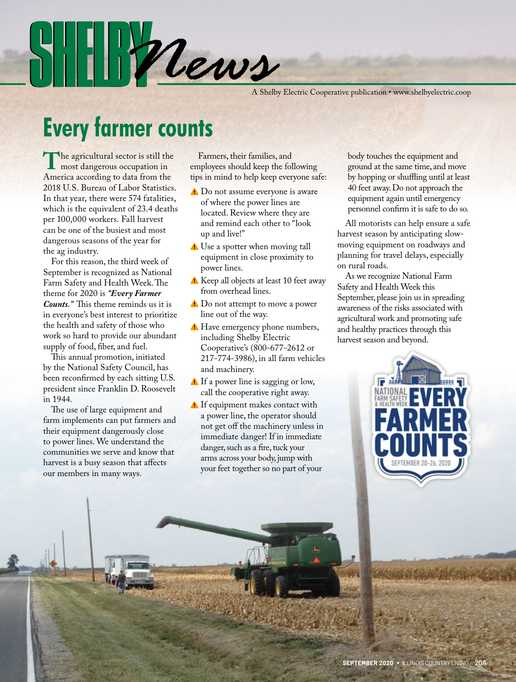A Shelby Electric Cooperative publication • www.shelbyelectric.coop

## **Every farmer counts**

 $\|\cdot\|$  /  $\eta$ 

The agricultural sector is still the<br>America according to data from the America according to data from the 2018 U.S. Bureau of Labor Statistics. In that year, there were 574 fatalities, which is the equivalent of 23.4 deaths per 100,000 workers. Fall harvest can be one of the busiest and most dangerous seasons of the year for the ag industry.

 For this reason, the third week of September is recognized as National Farm Safety and Health Week. The theme for 2020 is *"Every Farmer Counts."* This theme reminds us it is in everyone's best interest to prioritize the health and safety of those who work so hard to provide our abundant supply of food, fiber, and fuel.

 This annual promotion, initiated by the National Safety Council, has been reconfirmed by each sitting U.S. president since Franklin D. Roosevelt in 1944.

 The use of large equipment and farm implements can put farmers and their equipment dangerously close to power lines. We understand the communities we serve and know that harvest is a busy season that affects our members in many ways.

 Farmers, their families, and employees should keep the following tips in mind to help keep everyone safe:

- Do not assume everyone is aware of where the power lines are located. Review where they are and remind each other to "look up and live!"
- Use a spotter when moving tall equipment in close proximity to power lines.
- A Keep all objects at least 10 feet away from overhead lines.
- **△** Do not attempt to move a power line out of the way.
- **A** Have emergency phone numbers, including Shelby Electric Cooperative's (800-677-2612 or 217-774-3986), in all farm vehicles and machinery.
- If a power line is sagging or low, call the cooperative right away.
- If equipment makes contact with a power line, the operator should not get off the machinery unless in immediate danger! If in immediate danger, such as a fire, tuck your arms across your body, jump with your feet together so no part of your

body touches the equipment and ground at the same time, and move by hopping or shuffling until at least 40 feet away. Do not approach the equipment again until emergency personnel confirm it is safe to do so.

 All motorists can help ensure a safe harvest season by anticipating slowmoving equipment on roadways and planning for travel delays, especially on rural roads.

 As we recognize National Farm Safety and Health Week this September, please join us in spreading awareness of the risks associated with agricultural work and promoting safe and healthy practices through this harvest season and beyond.

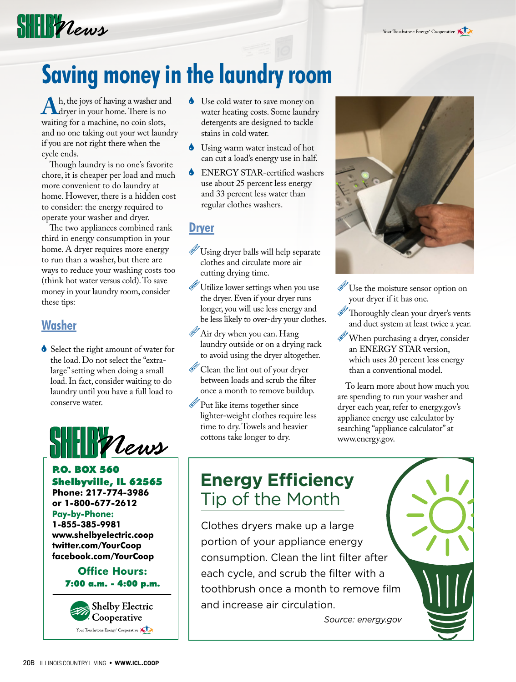# $\frac{1}{2}$

# **Saving money in the laundry room**

Ah, the joys of having a washer and<br>
dryer in your home. There is no<br>
waiting for a machine, no coin slots waiting for a machine, no coin slots, and no one taking out your wet laundry if you are not right there when the cycle ends.

 Though laundry is no one's favorite chore, it is cheaper per load and much more convenient to do laundry at home. However, there is a hidden cost to consider: the energy required to operate your washer and dryer.

 The two appliances combined rank third in energy consumption in your home. A dryer requires more energy to run than a washer, but there are ways to reduce your washing costs too (think hot water versus cold). To save money in your laundry room, consider these tips:

### **Washer**

Select the right amount of water for the load. Do not select the "extralarge" setting when doing a small load. In fact, consider waiting to do laundry until you have a full load to conserve water.



P.O. BOX 560 Shelbyville, IL 62565 **Phone: 217-774-3986 or 1-800-677-2612 Pay-by-Phone: 1-855-385-9981 www.shelbyelectric.coop twitter.com/YourCoop facebook.com/YourCoop**

#### **Office Hours:** 7:00 a.m. - 4:00 p.m.



- Use cold water to save money on water heating costs. Some laundry detergents are designed to tackle stains in cold water.
- Using warm water instead of hot can cut a load's energy use in half.
- ENERGY STAR-certified washers use about 25 percent less energy and 33 percent less water than regular clothes washers.

#### **Dryer**

- Using dryer balls will help separate clothes and circulate more air cutting drying time.
- Utilize lower settings when you use the dryer. Even if your dryer runs longer, you will use less energy and be less likely to over-dry your clothes.
- Air dry when you can. Hang laundry outside or on a drying rack to avoid using the dryer altogether.
- Clean the lint out of your dryer between loads and scrub the filter once a month to remove buildup.
- Put like items together since lighter-weight clothes require less time to dry. Towels and heavier cottons take longer to dry.



- Use the moisture sensor option on your dryer if it has one.
- Thoroughly clean your dryer's vents and duct system at least twice a year.
- When purchasing a dryer, consider an ENERGY STAR version, which uses 20 percent less energy than a conventional model.

 To learn more about how much you are spending to run your washer and dryer each year, refer to energy.gov's appliance energy use calculator by searching "appliance calculator" at www.energy.gov.

### **Energy Efficiency** Tip of the Month

Installing a smart power strip is a quick Clothes dryers make up a large portion of your appliance energy consumption. Clean the lint filter after actually cut power of the same energy of to say  $\alpha$ each cycle, and scrub the filter with a toothbrush once a month to remove film and increase air circulation.

*Source: energy.gov*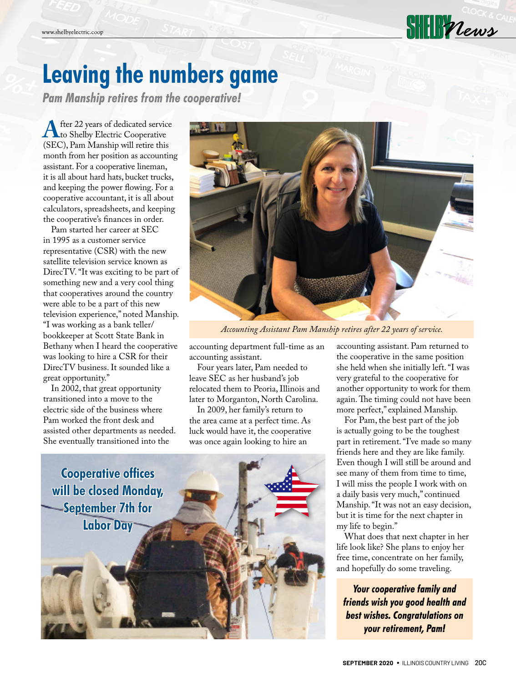## **Leaving the numbers game**

*Pam Manship retires from the cooperative!*

**A** fter 22 years of dedicated service<br>
(SEC) Pam Manship will retire this (SEC), Pam Manship will retire this month from her position as accounting assistant. For a cooperative lineman, it is all about hard hats, bucket trucks, and keeping the power flowing. For a cooperative accountant, it is all about calculators, spreadsheets, and keeping the cooperative's finances in order.

 Pam started her career at SEC in 1995 as a customer service representative (CSR) with the new satellite television service known as DirecTV. "It was exciting to be part of something new and a very cool thing that cooperatives around the country were able to be a part of this new television experience," noted Manship. "I was working as a bank teller/ bookkeeper at Scott State Bank in Bethany when I heard the cooperative was looking to hire a CSR for their DirecTV business. It sounded like a great opportunity."

 In 2002, that great opportunity transitioned into a move to the electric side of the business where Pam worked the front desk and assisted other departments as needed. She eventually transitioned into the



*Accounting Assistant Pam Manship retires after 22 years of service.*

accounting department full-time as an accounting assistant.

 Four years later, Pam needed to leave SEC as her husband's job relocated them to Peoria, Illinois and later to Morganton, North Carolina.

 In 2009, her family's return to the area came at a perfect time. As luck would have it, the cooperative was once again looking to hire an



accounting assistant. Pam returned to the cooperative in the same position she held when she initially left. "I was very grateful to the cooperative for another opportunity to work for them again. The timing could not have been more perfect," explained Manship.

 For Pam, the best part of the job is actually going to be the toughest part in retirement. "I've made so many friends here and they are like family. Even though I will still be around and see many of them from time to time, I will miss the people I work with on a daily basis very much," continued Manship. "It was not an easy decision, but it is time for the next chapter in my life to begin."

 What does that next chapter in her life look like? She plans to enjoy her free time, concentrate on her family, and hopefully do some traveling.

*Your cooperative family and friends wish you good health and best wishes. Congratulations on your retirement, Pam!*